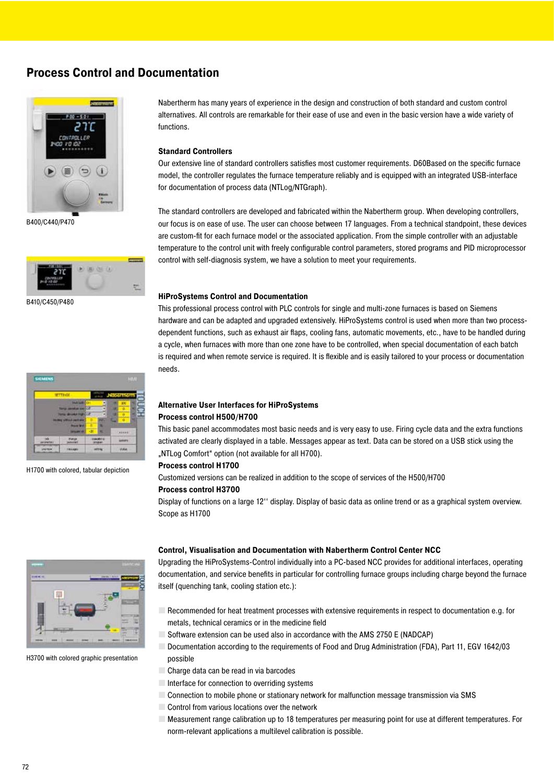### **Process Control and Documentation**





B410/C450/P480

| <b>SIGNENS</b> |                 |   |    |        | <b>Bank</b> |  |
|----------------|-----------------|---|----|--------|-------------|--|
|                | <b>IETTEGE-</b> |   | 55 |        |             |  |
|                |                 |   | ٠  |        |             |  |
|                |                 | ы |    | ö      |             |  |
|                |                 | ۰ | ٠  |        |             |  |
|                |                 |   |    |        | u           |  |
|                |                 |   |    |        |             |  |
|                |                 |   |    | absort |             |  |
|                |                 |   |    |        |             |  |
|                |                 |   |    |        |             |  |

H1700 with colored, tabular depiction

Nabertherm has many years of experience in the design and construction of both standard and custom control alternatives. All controls are remarkable for their ease of use and even in the basic version have a wide variety of .functions

#### **Standard Controllers**

Our extensive line of standard controllers satisfies most customer requirements. D60Based on the specific furnace model, the controller regulates the furnace temperature reliably and is equipped with an integrated USB-interface for documentation of process data (NTLog/NTGraph).

The standard controllers are developed and fabricated within the Nabertherm group. When developing controllers, our focus is on ease of use. The user can choose between 17 languages. From a technical standpoint, these devices are custom-fit for each furnace model or the associated application. From the simple controller with an adjustable temperature to the control unit with freely configurable control parameters, stored programs and PID microprocessor control with self-diagnosis system, we have a solution to meet your requirements.

#### **HiProSystems Control and Documentation**

This professional process control with PLC controls for single and multi-zone furnaces is based on Siemens dependent functions, such as exhaust air flaps, cooling fans, automatic movements, etc., have to be handled during hardware and can be adapted and upgraded extensively. HiProSystems control is used when more than two processa cycle, when furnaces with more than one zone have to be controlled, when special documentation of each batch is required and when remote service is required. It is flexible and is easily tailored to your process or documentation .needs

#### **Alternative User Interfaces for HiProSystems Process control H500/H700**

This basic panel accommodates most basic needs and is very easy to use. Firing cycle data and the extra functions activated are clearly displayed in a table. Messages appear as text. Data can be stored on a USB stick using the "NTLog Comfort" option (not available for all H700).

#### **Process control H1700**

Customized versions can be realized in addition to the scope of services of the H500/H700

#### **Process control H3700**

Display of functions on a large 12" display. Display of basic data as online trend or as a graphical system overview. Scope as H1700

#### **Control, Visualisation and Documentation with Nabertherm Control Center NCC**

Upgrading the HiProSystems-Control individually into a PC-based NCC provides for additional interfaces, operating documentation, and service benefits in particular for controlling furnace groups including charge beyond the furnace itself (quenching tank, cooling station etc.):

- For Recommended for heat treatment processes with extensive requirements in respect to documentation e.g. for metals, technical ceramics or in the medicine field
- $\blacksquare$  Software extension can be used also in accordance with the AMS 2750 E (NADCAP)
- 1642/03 Documentation according to the requirements of Food and Drug Administration (FDA), Part 11, EGV 1642/03 possible
- $\Box$  Charge data can be read in via barcodes
- $\Box$  Interface for connection to overriding systems
- Connection to mobile phone or stationary network for malfunction message transmission via SMS
- $\Box$  Control from various locations over the network
- **For Measurement range calibration up to 18 temperatures per measuring point for use at different temperatures. For** norm-relevant applications a multilevel calibration is possible.



H3700 with colored graphic presentation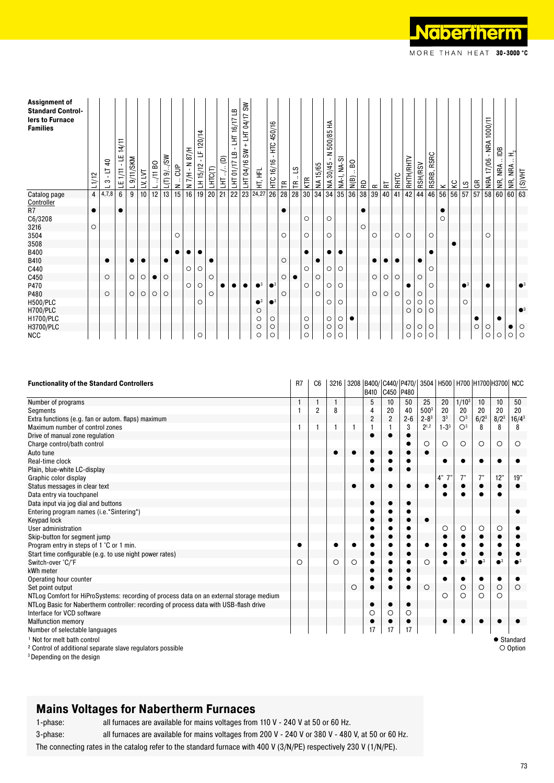| <b>Assignment of</b><br><b>Standard Control-</b><br>lers to Furnace<br><b>Families</b> | L1/12          | $\overline{a}$<br>F<br>$\mathbf{I}$<br>$\infty$<br>┙ | 14/11<br>٣<br>LE 1/11 | 9/11/SKM<br>┙ | LV, LVT   | $0811$ .<br>┙ | U(T) 9/0.5W | <b>SP</b><br>z | 87/H<br>z<br>$N7/H -$ | 120/14<br>Е<br>LH 15/12 | LHTC(T)   | $\widehat{e}$<br>宝 | ≞<br>$-L$ HT 16/17<br><b>THI 01/17 LB</b> | ≲<br>+ LHT 04/17<br>S₩<br>LHT 04/16 | HT, HFL     | 450/16<br>Ë<br>$\mathbf{L}$<br>16/16<br>ЕČ | $\mathrel{\mathop{\mathsf{E}}\nolimits}$ | $\overline{3}$<br>$\mathop{\mathsf{E}}$ | KTR     | NA 15/65  | 500/85 HA<br>$\frac{1}{\sqrt{2}}$<br>NA30/45 | NA-I, NA-SI | <b>BO</b><br>N(B) | æ         | $\simeq$        | $\overline{R}$ | <b>BHIC</b> | RHTH/RHTV | <b>RSH/RSV</b> | RSRC<br>RSRB, | $\!\times\!$ | δ,        | 57          | GR      | 1000/11<br>$-MRA$<br>17/06<br>NRA | agi<br>NR, NRA | ェ<br>NRA<br>$\frac{\text{B}}{\text{B}}$ NR, NR, $\frac{\text{N}}{\text{B}}$ |         |
|----------------------------------------------------------------------------------------|----------------|------------------------------------------------------|-----------------------|---------------|-----------|---------------|-------------|----------------|-----------------------|-------------------------|-----------|--------------------|-------------------------------------------|-------------------------------------|-------------|--------------------------------------------|------------------------------------------|-----------------------------------------|---------|-----------|----------------------------------------------|-------------|-------------------|-----------|-----------------|----------------|-------------|-----------|----------------|---------------|--------------|-----------|-------------|---------|-----------------------------------|----------------|-----------------------------------------------------------------------------|---------|
| Catalog page                                                                           | $\overline{4}$ | 4,7,8                                                | $6\phantom{1}$        | 9             | 10        | 12            | 13          | 15             | $\overline{16}$       | 19                      | 20        | 21                 | $\overline{22}$                           | 23                                  | 24,27       | $\overline{26}$                            | 28                                       | 28                                      | 30      | 34        | $\overline{34}$                              | 35          | $\overline{36}$   | 38        | $\overline{39}$ | 40             | 41          | 42        | 44             | 46            | 56           | 56        | 57          | 57      | 58                                | 60             |                                                                             |         |
| Controller                                                                             |                |                                                      |                       |               |           |               |             |                |                       |                         |           |                    |                                           |                                     |             |                                            |                                          |                                         |         |           |                                              |             |                   |           |                 |                |             |           |                |               |              |           |             |         |                                   |                |                                                                             |         |
| R <sub>7</sub>                                                                         | $\bullet$      |                                                      |                       |               |           |               |             |                |                       |                         |           |                    |                                           |                                     |             |                                            |                                          |                                         |         |           |                                              |             |                   | $\bullet$ |                 |                |             |           |                |               |              |           |             |         |                                   |                |                                                                             |         |
| C6/3208                                                                                |                |                                                      |                       |               |           |               |             |                |                       |                         |           |                    |                                           |                                     |             |                                            |                                          |                                         | O       |           | O                                            |             |                   |           |                 |                |             |           |                |               | $\circ$      |           |             |         |                                   |                |                                                                             |         |
| 3216                                                                                   | $\circ$        |                                                      |                       |               |           |               |             |                |                       |                         |           |                    |                                           |                                     |             |                                            |                                          |                                         |         |           |                                              |             |                   | $\circ$   |                 |                |             |           |                |               |              |           |             |         |                                   |                |                                                                             |         |
| 3504                                                                                   |                |                                                      |                       |               |           |               |             | $\circ$        |                       |                         |           |                    |                                           |                                     |             |                                            | O                                        |                                         | O       |           | O                                            |             |                   |           | $\circ$         |                | O           | $\circ$   |                | O             |              |           |             |         | ∩                                 |                |                                                                             |         |
| 3508                                                                                   |                |                                                      |                       |               |           |               |             |                |                       |                         |           |                    |                                           |                                     |             |                                            |                                          |                                         |         |           |                                              |             |                   |           |                 |                |             |           |                |               |              | $\bullet$ |             |         |                                   |                |                                                                             |         |
| <b>B400</b>                                                                            |                |                                                      |                       |               |           |               |             |                | $\bullet$             |                         |           |                    |                                           |                                     |             |                                            |                                          |                                         |         |           |                                              |             |                   |           |                 |                |             |           |                |               |              |           |             |         |                                   |                |                                                                             |         |
| B410                                                                                   |                | $\bullet$                                            |                       | $\bullet$     | $\bullet$ |               | $\bullet$   |                |                       |                         | $\bullet$ |                    |                                           |                                     |             |                                            | O                                        |                                         |         | $\bullet$ |                                              |             |                   |           |                 |                | $\bullet$   |           | $\bullet$      |               |              |           |             |         |                                   |                |                                                                             |         |
| C440                                                                                   |                |                                                      |                       |               |           |               |             |                | O                     | O                       |           |                    |                                           |                                     |             |                                            |                                          |                                         | O       |           | O                                            | $\circ$     |                   |           |                 |                |             |           |                | O             |              |           |             |         |                                   |                |                                                                             |         |
| C450                                                                                   |                | $\circ$                                              |                       | $\circ$       | $\circ$   | $\bullet$     | O           |                |                       |                         | $\circ$   |                    |                                           |                                     |             |                                            | O                                        | $\bullet$                               |         | $\circ$   |                                              |             |                   |           | $\circ$         | $\circ$        | $\circ$     |           | $\circ$        |               |              |           |             |         |                                   |                |                                                                             |         |
| P470                                                                                   |                |                                                      |                       |               |           |               |             |                | O                     | O                       |           |                    |                                           |                                     | $^{\circ}$  | $\bullet^3$                                |                                          |                                         | O       |           | $\circ$                                      | $\circ$     |                   |           |                 |                |             | $\bullet$ |                | O             |              |           | $\bullet^3$ |         |                                   |                |                                                                             |         |
| P480                                                                                   |                | $\circ$                                              |                       | $\circ$       | O         | $\circ$       | O           |                |                       |                         | $\circ$   |                    |                                           |                                     |             |                                            | O                                        |                                         |         | $\circ$   |                                              |             |                   |           | O               | $\circ$        | $\circ$     |           | $\circ$        |               |              |           |             |         |                                   |                |                                                                             |         |
| <b>H500/PLC</b>                                                                        |                |                                                      |                       |               |           |               |             |                |                       | O                       |           |                    |                                           |                                     | $\bullet^3$ | $\bullet^3$                                |                                          |                                         |         |           | $\circ$                                      | $\circ$     |                   |           |                 |                |             | O         | $\circ$        | $\circ$       |              |           | $\circ$     |         |                                   |                |                                                                             |         |
| <b>H700/PLC</b>                                                                        |                |                                                      |                       |               |           |               |             |                |                       |                         |           |                    |                                           |                                     | $\circ$     |                                            |                                          |                                         |         |           |                                              |             |                   |           |                 |                |             | $\circ$   | $\circ$        | $\circ$       |              |           |             |         |                                   |                |                                                                             |         |
| H1700/PLC                                                                              |                |                                                      |                       |               |           |               |             |                |                       |                         |           |                    |                                           |                                     | O           | O                                          |                                          |                                         | O       |           | O                                            | O           |                   |           |                 |                |             |           |                |               |              |           |             |         |                                   |                |                                                                             |         |
| H3700/PLC                                                                              |                |                                                      |                       |               |           |               |             |                |                       |                         |           |                    |                                           |                                     | O           | $\circ$                                    |                                          |                                         | $\circ$ |           | $\circ$                                      | O           |                   |           |                 |                |             | $\circ$   | $\circ$        | $\circ$       |              |           |             | $\circ$ | $\circ$                           |                | $\bullet$                                                                   | O       |
| <b>NCC</b>                                                                             |                |                                                      |                       |               |           |               |             |                |                       | O                       |           |                    |                                           |                                     | O           | O                                          |                                          |                                         | $\circ$ |           | $\circ$                                      | O           |                   |           |                 |                |             | $\circ$   | $\circ$        | O             |              |           |             |         | $\circ$                           | $\circ$        | O                                                                           | $\circ$ |

| <b>Functionality of the Standard Controllers</b>                                        | R7 | C <sub>6</sub> |           |         | B410 | C450 P480      |         |           |                |                | 3216   3208   B400/ C440/   P470/   3504   H500   H700   H1700   H3700   NCC |         |          |
|-----------------------------------------------------------------------------------------|----|----------------|-----------|---------|------|----------------|---------|-----------|----------------|----------------|------------------------------------------------------------------------------|---------|----------|
| Number of programs                                                                      |    |                |           |         | 5    | 10             | 50      | 25        | 20             | $1/10^{3}$     | 10                                                                           | 10      | 50       |
| Segments                                                                                |    | $\overline{2}$ | 8         |         | 4    | 20             | 40      | 5003      | 20             | 20             | 20                                                                           | 20      | 20       |
| Extra functions (e.g. fan or autom. flaps) maximum                                      |    |                |           |         | 2    | $\overline{2}$ | $2 - 6$ | $2 - 8^3$ | 3 <sup>3</sup> | O <sup>3</sup> | $6/2^3$                                                                      | $8/2^3$ | $16/4^3$ |
| Maximum number of control zones                                                         |    |                | 1         |         |      |                | 3       | $2^{1,2}$ | $1 - 33$       | O <sup>3</sup> | 8                                                                            | 8       | 8        |
| Drive of manual zone regulation                                                         |    |                |           |         |      |                |         |           |                |                |                                                                              |         |          |
| Charge control/bath control                                                             |    |                |           |         |      |                |         | O         | $\circ$        | $\circ$        | $\circ$                                                                      | O       | $\circ$  |
| Auto tune                                                                               |    |                | $\bullet$ |         |      |                |         | $\bullet$ |                |                |                                                                              |         |          |
| Real-time clock                                                                         |    |                |           |         |      |                |         |           |                |                |                                                                              |         |          |
| Plain, blue-white LC-display                                                            |    |                |           |         |      |                |         |           |                |                |                                                                              |         |          |
| Graphic color display                                                                   |    |                |           |         |      |                |         |           | 4"             | 7"             | 7"                                                                           | 12"     | 19"      |
| Status messages in clear text                                                           |    |                |           |         |      |                |         |           |                |                |                                                                              |         |          |
| Data entry via touchpanel                                                               |    |                |           |         |      |                |         |           |                |                |                                                                              |         |          |
| Data input via jog dial and buttons                                                     |    |                |           |         |      |                |         |           |                |                |                                                                              |         |          |
| Entering program names (i.e. "Sintering")                                               |    |                |           |         |      |                |         |           |                |                |                                                                              |         |          |
| Keypad lock                                                                             |    |                |           |         |      |                |         |           |                |                |                                                                              |         |          |
| User administration                                                                     |    |                |           |         |      |                |         |           | O              | O              | O                                                                            | O       |          |
| Skip-button for segment jump                                                            |    |                |           |         |      |                |         |           |                |                |                                                                              |         |          |
| Program entry in steps of 1 °C or 1 min.                                                |    |                |           |         |      |                |         |           |                |                |                                                                              |         |          |
| Start time configurable (e.g. to use night power rates)                                 |    |                |           |         |      |                |         |           |                |                |                                                                              |         |          |
| Switch-over °C/°F                                                                       | Ο  |                | $\circ$   | O       |      |                |         | O         |                |                |                                                                              |         |          |
| kWh meter                                                                               |    |                |           |         |      |                |         |           |                |                |                                                                              |         |          |
| Operating hour counter                                                                  |    |                |           |         |      |                |         |           |                |                |                                                                              |         |          |
| Set point output                                                                        |    |                |           | $\circ$ |      |                |         | $\circ$   |                | $\circ$        | $\circ$                                                                      | O       | $\circ$  |
| NTLog Comfort for HiProSystems: recording of process data on an external storage medium |    |                |           |         |      |                |         |           | $\circ$        | O              | $\circ$                                                                      | O       |          |
| NTLog Basic for Nabertherm controller: recording of process data with USB-flash drive   |    |                |           |         |      |                |         |           |                |                |                                                                              |         |          |
| Interface for VCD software                                                              |    |                |           |         | O    | $\circ$        | $\circ$ |           |                |                |                                                                              |         |          |
| <b>Malfunction memory</b>                                                               |    |                |           |         |      |                |         |           |                |                |                                                                              |         |          |
| Number of selectable languages                                                          |    |                |           |         | 17   | 17             | 17      |           |                |                |                                                                              |         |          |
| <sup>1</sup> Not for melt bath control                                                  |    |                |           |         |      |                |         |           |                |                |                                                                              |         | Standard |
| <sup>2</sup> Control of additional separate slave regulators possible                   |    |                |           |         |      |                |         |           |                |                |                                                                              |         | O Option |
| <sup>3</sup> Depending on the design                                                    |    |                |           |         |      |                |         |           |                |                |                                                                              |         |          |

## **Mains Voltages for Nabertherm Furnaces**

1-phase: all furnaces are available for mains voltages from 110 V - 240 V at 50 or 60 Hz.

3-phase: all furnaces are available for mains voltages from 200 V - 240 V or 380 V - 480 V, at 50 or 60 Hz.

The connecting rates in the catalog refer to the standard furnace with 400 V (3/N/PE) respectively 230 V (1/N/PE).

73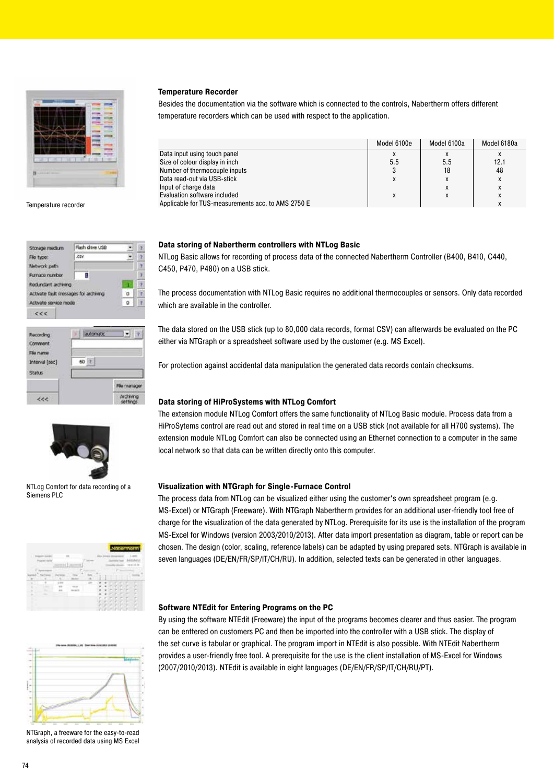

## Temperature recorder

| Storage medium                        | Flash drive USB |          |   |
|---------------------------------------|-----------------|----------|---|
| File type:                            | <b>CSV</b>      |          |   |
| Network path                          |                 |          |   |
| Furnace rumber                        | 1               |          | z |
| Redundant archiving                   |                 |          |   |
| Activate fault messages for archiving |                 | $\Omega$ |   |
| Activate service mode                 |                 | ō        |   |
| C C C                                 |                 |          |   |
| Recording                             | automatic       |          |   |
| Comment                               |                 |          |   |

|                          | automatic |
|--------------------------|-----------|
|                          | 60        |
| Interval [sec]<br>Status | ÷         |
|                          |           |
|                          |           |



NTLog Comfort for data recording of a Siemens PLC



NTGraph, a freeware for the easy-to-read analysis of recorded data using MS Excel

#### **Temperature Recorder**

Besides the documentation via the software which is connected to the controls, Nabertherm offers different temperature recorders which can be used with respect to the application.

|                                                    | Model 6100e | Model 6100a | Model 6180a  |
|----------------------------------------------------|-------------|-------------|--------------|
| Data input using touch panel                       |             |             |              |
| Size of colour display in inch                     | 5.5         | 5.5         | 12.1         |
| Number of thermocouple inputs                      |             | 18          | 48           |
| Data read-out via USB-stick                        | X           | X           |              |
| Input of charge data                               |             | x           | $\mathbf{A}$ |
| Evaluation software included                       |             | X           |              |
| Applicable for TUS-measurements acc. to AMS 2750 E |             |             |              |

#### **Data storing of Nabertherm controllers with NTLog Basic**

NTLog Basic allows for recording of process data of the connected Nabertherm Controller (B400, B410, C440, C450, P470, P480) on a USB stick.

The process documentation with NTLog Basic requires no additional thermocouples or sensors. Only data recorded which are available in the controller.

The data stored on the USB stick (up to 80,000 data records, format CSV) can afterwards be evaluated on the PC either via NTGraph or a spreadsheet software used by the customer (e.g. MS Excel).

For protection against accidental data manipulation the generated data records contain checksums.

#### **Data storing of HiProSystems with NTLog Comfort**

The extension module NTLog Comfort offers the same functionality of NTLog Basic module. Process data from a HiProSytems control are read out and stored in real time on a USB stick (not available for all H700 systems). The extension module NTLog Comfort can also be connected using an Ethernet connection to a computer in the same local network so that data can be written directly onto this computer.

#### **Visualization with NTGraph for Single-Furnace Control**

The process data from NTLog can be visualized either using the customer's own spreadsheet program (e.g. MS-Excel) or NTGraph (Freeware). With NTGraph Nabertherm provides for an additional user-friendly tool free of charge for the visualization of the data generated by NTLog. Prerequisite for its use is the installation of the program MS-Excel for Windows (version 2003/2010/2013). After data import presentation as diagram, table or report can be chosen. The design (color, scaling, reference labels) can be adapted by using prepared sets. NTGraph is available in seven languages (DE/EN/FR/SP/IT/CH/RU). In addition, selected texts can be generated in other languages.

#### **Software NTEdit for Entering Programs on the PC**

By using the software NTEdit (Freeware) the input of the programs becomes clearer and thus easier. The program can be enttered on customers PC and then be imported into the controller with a USB stick. The display of the set curve is tabular or graphical. The program import in NTEdit is also possible. With NTEdit Nabertherm provides a user-friendly free tool. A prerequisite for the use is the client installation of MS-Excel for Windows (2007/2010/2013). NTEdit is available in eight languages (DE/EN/FR/SP/IT/CH/RU/PT).